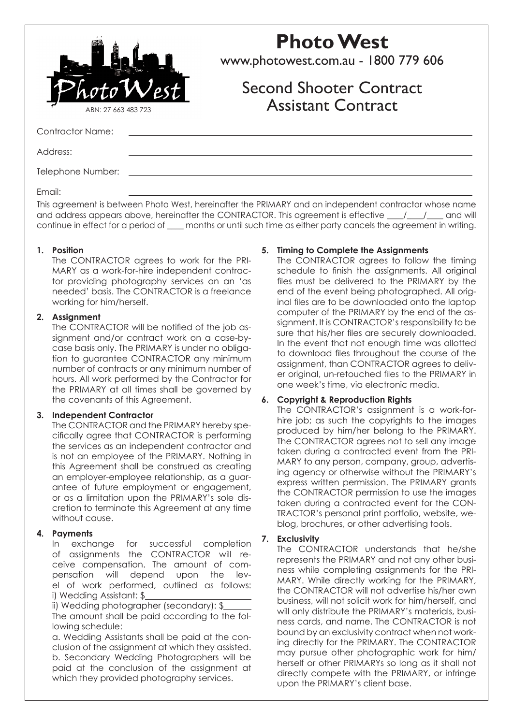

# **Photo West**

www.photowest.com.au - 1800 779 606

# Second Shooter Contract Assistant Contract

Contractor Name:

Address:

Telephone Number:

Email:

This agreement is between Photo West, hereinafter the PRIMARY and an independent contractor whose name and address appears above, hereinafter the CONTRACTOR. This agreement is effective  $\frac{1}{\sqrt{2}}$  and will continue in effect for a period of \_\_\_\_ months or until such time as either party cancels the agreement in writing.

#### **1. Position**

The CONTRACTOR agrees to work for the PRI-MARY as a work-for-hire independent contractor providing photography services on an 'as needed' basis. The CONTRACTOR is a freelance working for him/herself.

#### **2. Assignment**

The CONTRACTOR will be notified of the job assignment and/or contract work on a case-bycase basis only. The PRIMARY is under no obligation to guarantee CONTRACTOR any minimum number of contracts or any minimum number of hours. All work performed by the Contractor for the PRIMARY at all times shall be governed by the covenants of this Agreement.

#### **3. Independent Contractor**

The CONTRACTOR and the PRIMARY hereby specifically agree that CONTRACTOR is performing the services as an independent contractor and is not an employee of the PRIMARY. Nothing in this Agreement shall be construed as creating an employer-employee relationship, as a guarantee of future employment or engagement, or as a limitation upon the PRIMARY's sole discretion to terminate this Agreement at any time without cause.

# **4. Payments**

In exchange for successful completion of assignments the CONTRACTOR will receive compensation. The amount of compensation will depend upon the level of work performed, outlined as follows: i) Wedding Assistant: \$

ii) Wedding photographer (secondary): \$ The amount shall be paid according to the following schedule:

a. Wedding Assistants shall be paid at the conclusion of the assignment at which they assisted. b. Secondary Wedding Photographers will be paid at the conclusion of the assignment at which they provided photography services.

# **5. Timing to Complete the Assignments**

The CONTRACTOR agrees to follow the timing schedule to finish the assignments. All original files must be delivered to the PRIMARY by the end of the event being photographed. All original files are to be downloaded onto the laptop computer of the PRIMARY by the end of the assignment. It is CONTRACTOR's responsibility to be sure that his/her files are securely downloaded. In the event that not enough time was allotted to download files throughout the course of the assignment, than CONTRACTOR agrees to deliver original, un-retouched files to the PRIMARY in one week's time, via electronic media.

# **6. Copyright & Reproduction Rights**

The CONTRACTOR's assignment is a work-forhire job; as such the copyrights to the images produced by him/her belong to the PRIMARY. The CONTRACTOR agrees not to sell any image taken during a contracted event from the PRI-MARY to any person, company, group, advertising agency or otherwise without the PRIMARY's express written permission. The PRIMARY grants the CONTRACTOR permission to use the images taken during a contracted event for the CON-TRACTOR's personal print portfolio, website, weblog, brochures, or other advertising tools.

# **7. Exclusivity**

The CONTRACTOR understands that he/she represents the PRIMARY and not any other business while completing assignments for the PRI-MARY. While directly working for the PRIMARY, the CONTRACTOR will not advertise his/her own business, will not solicit work for him/herself, and will only distribute the PRIMARY's materials, business cards, and name. The CONTRACTOR is not bound by an exclusivity contract when not working directly for the PRIMARY. The CONTRACTOR may pursue other photographic work for him/ herself or other PRIMARYs so long as it shall not directly compete with the PRIMARY, or infringe upon the PRIMARY's client base.